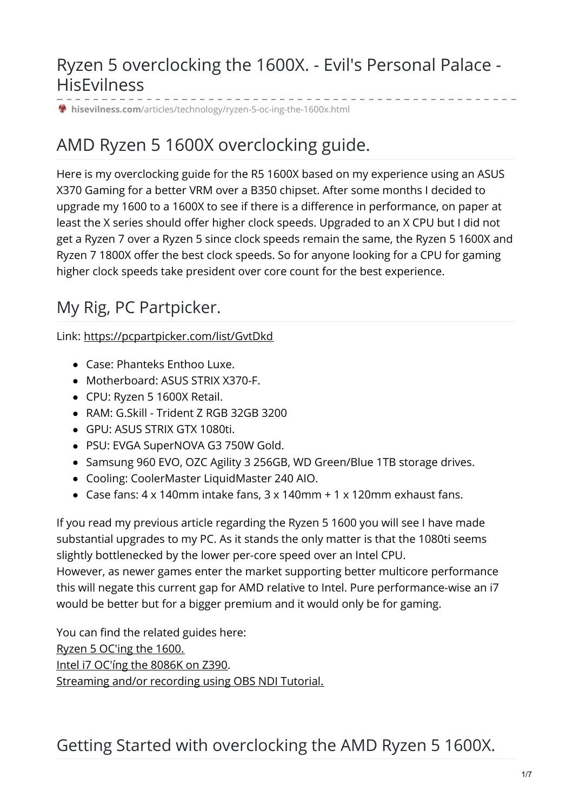## Ryzen 5 overclocking the 1600X. - Evil's Personal Palace - **HisEvilness**

**hisevilness.com**[/articles/technology/ryzen-5-oc-ing-the-1600x.html](https://www.hisevilness.com/articles/technology/ryzen-5-oc-ing-the-1600x.html?showall=1)

# AMD Ryzen 5 1600X overclocking guide.

Here is my overclocking guide for the R5 1600X based on my experience using an ASUS X370 Gaming for a better VRM over a B350 chipset. After some months I decided to upgrade my 1600 to a 1600X to see if there is a difference in performance, on paper at least the X series should offer higher clock speeds. Upgraded to an X CPU but I did not get a Ryzen 7 over a Ryzen 5 since clock speeds remain the same, the Ryzen 5 1600X and Ryzen 7 1800X offer the best clock speeds. So for anyone looking for a CPU for gaming higher clock speeds take president over core count for the best experience.

# My Rig, PC Partpicker.

Link: <https://pcpartpicker.com/list/GvtDkd>

- Case: Phanteks Enthoo Luxe.
- Motherboard: ASUS STRIX X370-F.
- CPU: Ryzen 5 1600X Retail.
- RAM: G.Skill Trident Z RGB 32GB 3200
- GPU: ASUS STRIX GTX 1080ti.
- PSU: EVGA SuperNOVA G3 750W Gold.
- Samsung 960 EVO, OZC Agility 3 256GB, WD Green/Blue 1TB storage drives.
- Cooling: CoolerMaster LiquidMaster 240 AIO.
- Case fans:  $4 \times 140$ mm intake fans,  $3 \times 140$ mm +  $1 \times 120$ mm exhaust fans.

If you read my previous article regarding the Ryzen 5 1600 you will see I have made substantial upgrades to my PC. As it stands the only matter is that the 1080ti seems slightly bottlenecked by the lower per-core speed over an Intel CPU. However, as newer games enter the market supporting better multicore performance

this will negate this current gap for AMD relative to Intel. Pure performance-wise an i7 would be better but for a bigger premium and it would only be for gaming.

You can find the related guides here: Ryzen 5 [OC'ing](https://www.hisevilness.com/articles/technology/ryzen-5-oc-ing-the-1600.html) the 1600. Intel i7 [OC'íng](https://www.hisevilness.com/articles/technology/intel-i7-ocing-the-8086k-on-z390.html) the 8086K on Z390. [Streaming](https://www.hisevilness.com/articles/technology/streaming-and-or-recording-using-obs-ndi-tutorial.html) and/or recording using OBS NDI Tutorial.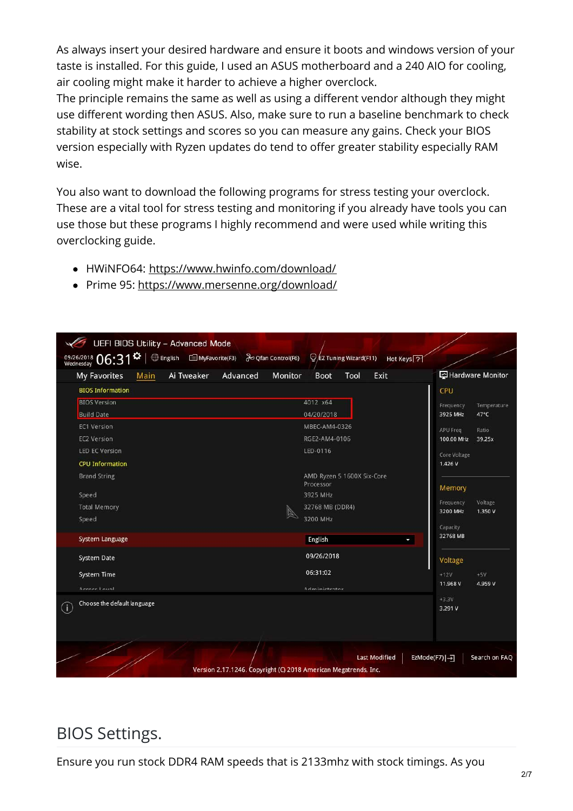As always insert your desired hardware and ensure it boots and windows version of your taste is installed. For this guide, I used an ASUS motherboard and a 240 AIO for cooling, air cooling might make it harder to achieve a higher overclock.

The principle remains the same as well as using a different vendor although they might use different wording then ASUS. Also, make sure to run a baseline benchmark to check stability at stock settings and scores so you can measure any gains. Check your BIOS version especially with Ryzen updates do tend to offer greater stability especially RAM wise.

You also want to download the following programs for stress testing your overclock. These are a vital tool for stress testing and monitoring if you already have tools you can use those but these programs I highly recommend and were used while writing this overclocking guide.

- HWiNFO64: <https://www.hwinfo.com/download/>
- Prime 95: <https://www.mersenne.org/download/>

| 09/26/2018 $06:31^{\Omega}$   $\oplus$ English $\cong$ MyFavorite(F3) $\partial$ Qfan Control(F6)<br><b>My Favorites</b><br>Main                                                                   | Ai Tweaker<br>Advanced | $\bigcirc$ EZ Tuning Wizard(F11)<br>Hot Keys <sup>7</sup><br>Monitor<br>Tool<br>Exit<br><b>Boot</b>                         | Hardware Monitor                                                                                                                                              |
|----------------------------------------------------------------------------------------------------------------------------------------------------------------------------------------------------|------------------------|-----------------------------------------------------------------------------------------------------------------------------|---------------------------------------------------------------------------------------------------------------------------------------------------------------|
| <b>BIOS Information</b><br><b>BIOS Version</b><br><b>Build Date</b><br><b>EC1 Version</b><br><b>EC2 Version</b><br><b>LED EC Version</b><br><b>CPU Information</b><br><b>Brand String</b><br>Speed |                        | 4012 x64<br>04/20/2018<br>MBEC-AM4-0326<br>RGE2-AM4-0106<br>LED-0116<br>AMD Ryzen 5 1600X Six-Core<br>Processor<br>3925 MHz | CPU<br>Temperature<br>Frequency<br>3925 MHz<br>47°C<br>APU Freq<br>Ratio<br>39.25x<br>100.00 MHz<br>Core Voltage<br>1.426 V<br>Memory<br>Voltage<br>Frequency |
| <b>Total Memory</b><br>Speed<br>System Language<br>System Date                                                                                                                                     |                        | 32768 MB (DDR4)<br>3200 MHz<br>English<br>09/26/2018                                                                        | 3200 MHz<br>1.350 V<br>Capacity<br>32768 MB                                                                                                                   |
| <b>System Time</b><br>Accord Louis                                                                                                                                                                 |                        | 06:31:02<br>Administrator                                                                                                   | Voltage<br>$+12V$<br>$+5V$<br>11.968 V<br>4.959 V<br>$+3.3V$                                                                                                  |
| Choose the default language<br>$\left( i\right)$                                                                                                                                                   |                        | <b>Last Modified</b>                                                                                                        | 3.291 V<br>EzMode(F7) -<br>Search on FAQ                                                                                                                      |

## BIOS Settings.

Ensure you run stock DDR4 RAM speeds that is 2133mhz with stock timings. As you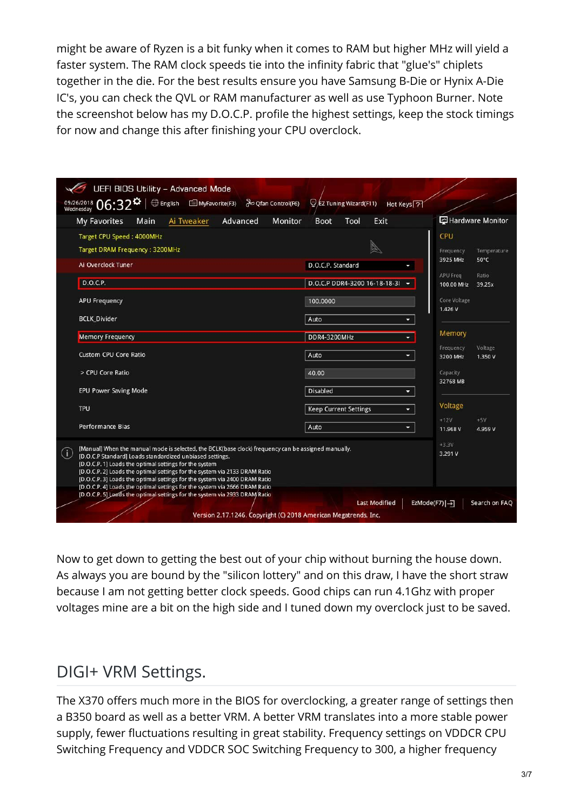might be aware of Ryzen is a bit funky when it comes to RAM but higher MHz will yield a faster system. The RAM clock speeds tie into the infinity fabric that "glue's" chiplets together in the die. For the best results ensure you have Samsung B-Die or Hynix A-Die IC's, you can check the QVL or RAM manufacturer as well as use Typhoon Burner. Note the screenshot below has my D.O.C.P. profile the highest settings, keep the stock timings for now and change this after finishing your CPU overclock.

| <b>UEFI BIOS Utility - Advanced Mode</b>                                                                                                                                                                                                                                                                                                                                                                   |                                                |                                             |
|------------------------------------------------------------------------------------------------------------------------------------------------------------------------------------------------------------------------------------------------------------------------------------------------------------------------------------------------------------------------------------------------------------|------------------------------------------------|---------------------------------------------|
| 09/26/2018 06:32*<br><b>Qfan Control(F6)</b> ∂⊙ Qfan Control(F6)                                                                                                                                                                                                                                                                                                                                           | EZ Tuning Wizard(F11)<br>Hot Keys <sup>7</sup> |                                             |
| Advanced<br>Ai Tweaker<br>Monitor<br><b>My Favorites</b><br>Main                                                                                                                                                                                                                                                                                                                                           | Tool<br>Exit<br><b>Boot</b>                    | Hardware Monitor                            |
| Target CPU Speed: 4000MHz<br>Target DRAM Frequency: 3200MHz                                                                                                                                                                                                                                                                                                                                                |                                                | CPU<br>Temperature<br>Frequency             |
| Ai Overclock Tuner                                                                                                                                                                                                                                                                                                                                                                                         | D.O.C.P. Standard                              | 3925 MHz<br>$50^{\circ}$ C                  |
| D.O.C.P.                                                                                                                                                                                                                                                                                                                                                                                                   | D.O.C.P DDR4-3200 16-18-18-31 -                | APU Freg<br>Ratio<br>100.00 MHz<br>39.25x   |
| <b>APU Frequency</b>                                                                                                                                                                                                                                                                                                                                                                                       | 100.0000                                       | Core Voltage                                |
| <b>BCLK_Divider</b>                                                                                                                                                                                                                                                                                                                                                                                        | Auto<br>۰                                      | 1.426 V                                     |
| <b>Memory Frequency</b>                                                                                                                                                                                                                                                                                                                                                                                    | DDR4-3200MHz<br>۰                              | Memory                                      |
| <b>Custom CPU Core Ratio</b>                                                                                                                                                                                                                                                                                                                                                                               | Auto<br>-                                      | Frequency<br>Voltage<br>3200 MHz<br>1.350 V |
| > CPU Core Ratio                                                                                                                                                                                                                                                                                                                                                                                           | 40.00                                          | Capacity                                    |
| <b>EPU Power Saving Mode</b>                                                                                                                                                                                                                                                                                                                                                                               | <b>Disabled</b><br>۰.                          | 32768 MB                                    |
| <b>TPU</b>                                                                                                                                                                                                                                                                                                                                                                                                 | <b>Keep Current Settings</b><br>-              | Voltage                                     |
| Performance Bias                                                                                                                                                                                                                                                                                                                                                                                           | Auto<br>۰.                                     | $+12V$<br>$+5V$<br>11.968 V<br>4.959 V      |
| [Manual] When the manual mode is selected, the BCLK(base clock) frequency can be assigned manually.<br>$\left( i\right)$<br>[D.O.C.P Standard] Loads standardized unbiased settings.<br>[D.O.C.P. 1] Loads the optimal settings for the system<br>[D.O.C.P. 2] Loads the optimal settings for the system via 2133 DRAM Ratio<br>[D.O.C.P. 3] Loads the optimal settings for the system via 2400 DRAM Ratio |                                                | $+3.3V$<br>3.291 V                          |
| [D.O.C.P. 4] Loads the optimal settings for the system via 2666 DRAM Ratio<br>[D.O.C.P. 5] Loads the optimal settings for the system via 2933 DRAM Ratio<br>Version 2.17.1246. Copyright (C) 2018 American Megatrends, Inc.                                                                                                                                                                                | <b>Last Modified</b>                           | EzMode(F7) -<br>Search on FAQ               |

Now to get down to getting the best out of your chip without burning the house down. As always you are bound by the "silicon lottery" and on this draw, I have the short straw because I am not getting better clock speeds. Good chips can run 4.1Ghz with proper voltages mine are a bit on the high side and I tuned down my overclock just to be saved.

# DIGI+ VRM Settings.

The X370 offers much more in the BIOS for overclocking, a greater range of settings then a B350 board as well as a better VRM. A better VRM translates into a more stable power supply, fewer fluctuations resulting in great stability. Frequency settings on VDDCR CPU Switching Frequency and VDDCR SOC Switching Frequency to 300, a higher frequency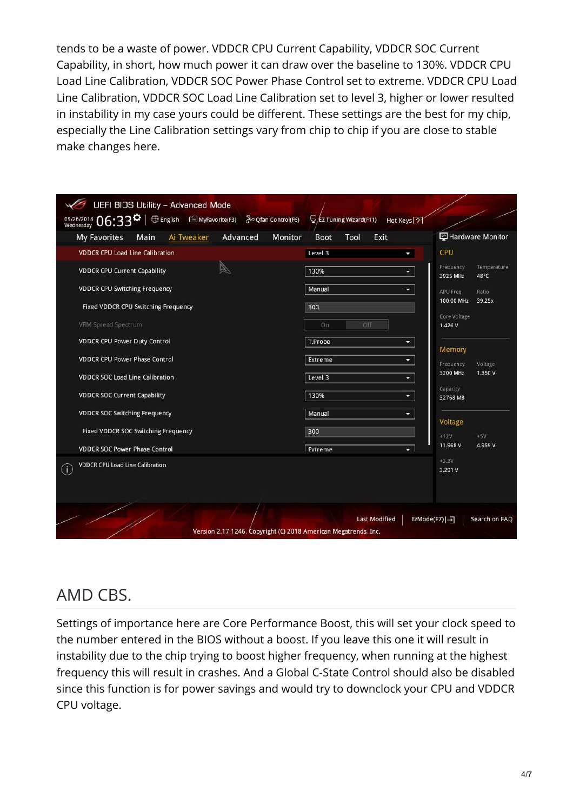tends to be a waste of power. VDDCR CPU Current Capability, VDDCR SOC Current Capability, in short, how much power it can draw over the baseline to 130%. VDDCR CPU Load Line Calibration, VDDCR SOC Power Phase Control set to extreme. VDDCR CPU Load Line Calibration, VDDCR SOC Load Line Calibration set to level 3, higher or lower resulted in instability in my case yours could be different. These settings are the best for my chip, especially the Line Calibration settings vary from chip to chip if you are close to stable make changes here.

| <b>UEFI BIOS Utility - Advanced Mode</b>                                                                                                   |                                                           |                                              |
|--------------------------------------------------------------------------------------------------------------------------------------------|-----------------------------------------------------------|----------------------------------------------|
| 09/26/2018 $06:33$ <sup><math>\boldsymbol{\ddot{\alpha}}</math></sup> $\oplus$ English $\equiv$ MyFavorite(F3) $\partial$ Qfan Control(F6) | $\bigcirc$ EZ Tuning Wizard(F11)<br>Hot Keys <sup>7</sup> |                                              |
| Advanced<br><b>Monitor</b><br>My Favorites<br>Main<br>Ai Tweaker                                                                           | Tool<br>Exit<br><b>Boot</b>                               | Hardware Monitor                             |
| <b>VDDCR CPU Load Line Calibration</b>                                                                                                     | Level 3                                                   | <b>CPU</b>                                   |
| <b>VDDCR CPU Current Capability</b>                                                                                                        | 130%<br>٠                                                 | Frequency<br>Temperature<br>3925 MHz<br>48°C |
| <b>VDDCR CPU Switching Frequency</b>                                                                                                       | Manual<br>÷                                               | APU Freq<br>Ratio                            |
| Fixed VDDCR CPU Switching Frequency                                                                                                        | 300                                                       | 100.00 MHz<br>39.25x                         |
| VRM Spread Spectrum                                                                                                                        | Off<br>On                                                 | Core Voltage<br>1.426 V                      |
| <b>VDDCR CPU Power Duty Control</b>                                                                                                        | T.Probe<br>×                                              | Memory                                       |
| <b>VDDCR CPU Power Phase Control</b>                                                                                                       | Extreme<br>×                                              | Voltage<br>Frequency                         |
| <b>VDDCR SOC Load Line Calibration</b>                                                                                                     | Level 3<br>٠                                              | 3200 MHz<br>1.350 V                          |
| <b>VDDCR SOC Current Capability</b>                                                                                                        | 130%<br>٠                                                 | Capacity<br>32768 MB                         |
| <b>VDDCR SOC Switching Frequency</b>                                                                                                       | Manual<br>÷                                               | Voltage                                      |
| Fixed VDDCR SOC Switching Frequency                                                                                                        | 300                                                       | $+12V$<br>$+5V$                              |
| <b>VDDCR SOC Power Phase Control</b>                                                                                                       | Extreme<br>$\overline{\phantom{a}}$                       | 11.968 V<br>4.959 V                          |
| <b>VDDCR CPU Load Line Calibration</b><br>$\left( \mathbf{i}\right)$                                                                       |                                                           | $+3.3V$<br>3.291 V                           |
| Version 2.17.1246. Copyright (C) 2018 American Megatrends, Inc.                                                                            | <b>Last Modified</b>                                      | EzMode(F7) -<br>Search on FAQ                |

## AMD CBS.

Settings of importance here are Core Performance Boost, this will set your clock speed to the number entered in the BIOS without a boost. If you leave this one it will result in instability due to the chip trying to boost higher frequency, when running at the highest frequency this will result in crashes. And a Global C-State Control should also be disabled since this function is for power savings and would try to downclock your CPU and VDDCR CPU voltage.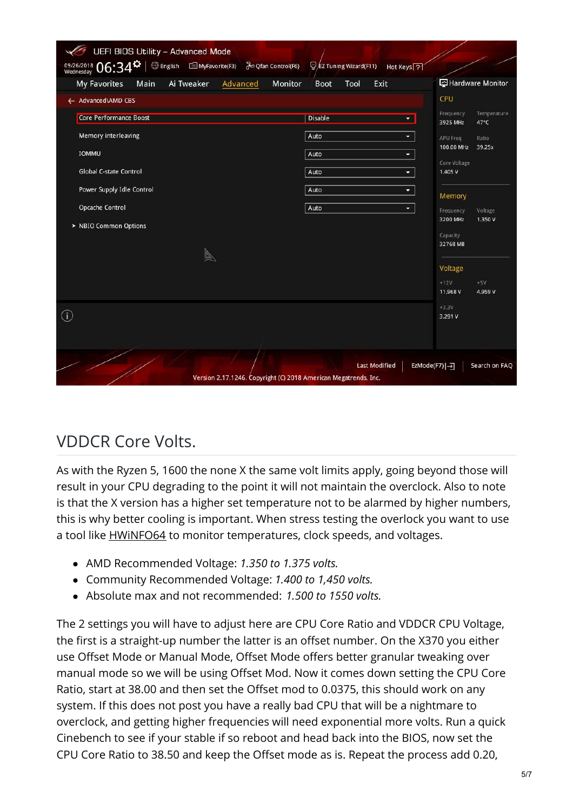| <b>UEFI BIOS Utility - Advanced Mode</b><br>09/26/2018 06:34<br><b> English</b> ■ MyFavorite(F3) a Qfan Control(F6) | $\bigcirc$ EZ Tuning Wizard(F11)<br>Hot Keys <sup>2</sup> |                                              |  |  |
|---------------------------------------------------------------------------------------------------------------------|-----------------------------------------------------------|----------------------------------------------|--|--|
| My Favorites<br>Ai Tweaker<br>Monitor<br>Main<br>Advanced                                                           | Tool<br>Exit<br><b>Boot</b>                               | Hardware Monitor                             |  |  |
| ← Advanced\AMD CBS                                                                                                  |                                                           | CPU                                          |  |  |
| <b>Core Performance Boost</b>                                                                                       | Disable<br>۰                                              | Frequency<br>Temperature<br>47°C<br>3925 MHz |  |  |
| Memory interleaving                                                                                                 | Auto<br>٠                                                 | Ratio<br><b>APU Freq</b>                     |  |  |
| <b>IOMMU</b>                                                                                                        | Auto<br>۰                                                 | 100.00 MHz<br>39.25x                         |  |  |
| <b>Global C-state Control</b>                                                                                       | Auto<br>$\overline{\phantom{a}}$                          | Core Voltage<br>1.405 V                      |  |  |
| Power Supply Idle Control                                                                                           | Auto<br>۰                                                 |                                              |  |  |
| Opcache Control                                                                                                     | Auto<br>٠                                                 | Memory<br>Frequency<br>Voltage               |  |  |
| > NBIO Common Options                                                                                               |                                                           | 3200 MHz<br>1.350 V                          |  |  |
|                                                                                                                     |                                                           | Capacity<br>32768 MB                         |  |  |
|                                                                                                                     |                                                           |                                              |  |  |
|                                                                                                                     |                                                           | Voltage<br>$+12V$<br>$+5V$                   |  |  |
|                                                                                                                     |                                                           | 11.968 V<br>4.959 V                          |  |  |
| $\odot$                                                                                                             |                                                           | $+3.3V$<br>3.291 V                           |  |  |
|                                                                                                                     |                                                           |                                              |  |  |
|                                                                                                                     |                                                           |                                              |  |  |
| <b>Last Modified</b><br>EzMode(F7) [-)<br>Search on FAQ                                                             |                                                           |                                              |  |  |
| Version 2.17.1246. Copyright (C) 2018 American Megatrends, Inc.                                                     |                                                           |                                              |  |  |

## VDDCR Core Volts.

As with the Ryzen 5, 1600 the none X the same volt limits apply, going beyond those will result in your CPU degrading to the point it will not maintain the overclock. Also to note is that the X version has a higher set temperature not to be alarmed by higher numbers, this is why better cooling is important. When stress testing the overlock you want to use a tool like **HWINFO64** to monitor temperatures, clock speeds, and voltages.

- AMD Recommended Voltage: *1.350 to 1.375 volts.*
- Community Recommended Voltage: *1.400 to 1,450 volts.*
- Absolute max and not recommended: *1.500 to 1550 volts.*

The 2 settings you will have to adjust here are CPU Core Ratio and VDDCR CPU Voltage, the first is a straight-up number the latter is an offset number. On the X370 you either use Offset Mode or Manual Mode, Offset Mode offers better granular tweaking over manual mode so we will be using Offset Mod. Now it comes down setting the CPU Core Ratio, start at 38.00 and then set the Offset mod to 0.0375, this should work on any system. If this does not post you have a really bad CPU that will be a nightmare to overclock, and getting higher frequencies will need exponential more volts. Run a quick Cinebench to see if your stable if so reboot and head back into the BIOS, now set the CPU Core Ratio to 38.50 and keep the Offset mode as is. Repeat the process add 0.20,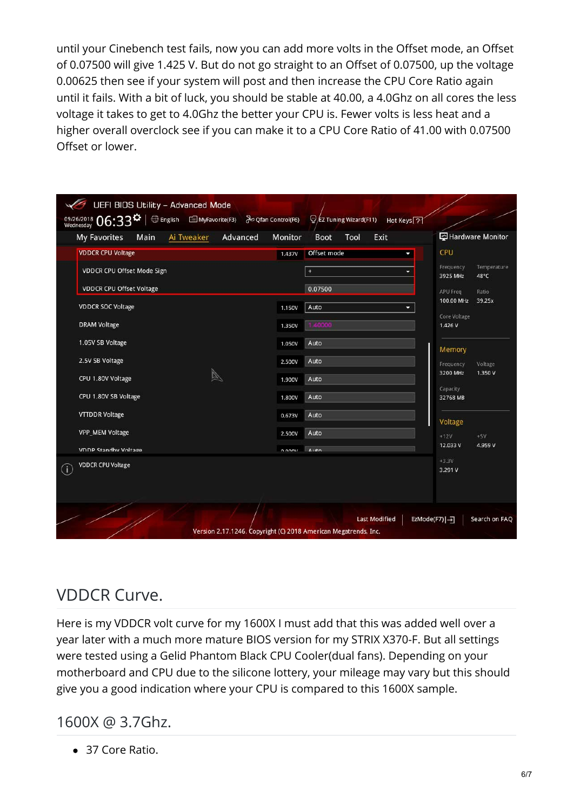until your Cinebench test fails, now you can add more volts in the Offset mode, an Offset of 0.07500 will give 1.425 V. But do not go straight to an Offset of 0.07500, up the voltage 0.00625 then see if your system will post and then increase the CPU Core Ratio again until it fails. With a bit of luck, you should be stable at 40.00, a 4.0Ghz on all cores the less voltage it takes to get to 4.0Ghz the better your CPU is. Fewer volts is less heat and a higher overall overclock see if you can make it to a CPU Core Ratio of 41.00 with 0.07500 Offset or lower.

| <b>UEFI BIOS Utility - Advanced Mode</b><br>09/26/2018 06:33 <sup>0</sup><br><b> English</b> ■ MyFavorite(F3) <i>a</i> Qfan Control(F6) | EZ Tuning Wizard(F11)                                                                   | Hot Keys ?                                   |
|-----------------------------------------------------------------------------------------------------------------------------------------|-----------------------------------------------------------------------------------------|----------------------------------------------|
| My Favorites<br>Main<br>Ai Tweaker<br>Advanced                                                                                          | <b>Monitor</b><br>Tool<br>Exit<br><b>Boot</b>                                           | Hardware Monitor                             |
| <b>VDDCR CPU Voltage</b>                                                                                                                | Offset mode<br>1.437V                                                                   | CPU                                          |
| VDDCR CPU Offset Mode Sign                                                                                                              | $\ddot{}$                                                                               | Temperature<br>Frequency<br>48°C<br>3925 MHz |
| <b>VDDCR CPU Offset Voltage</b>                                                                                                         | 0.07500                                                                                 | APU Freq<br>Ratio                            |
| <b>VDDCR SOC Voltage</b>                                                                                                                | Auto<br>1.150V                                                                          | 100.00 MHz<br>39.25x<br>÷                    |
| <b>DRAM Voltage</b>                                                                                                                     | 1.40000<br>1.350V                                                                       | Core Voltage<br>1.426 V                      |
| 1.05V SB Voltage                                                                                                                        | Auto<br>1.050V                                                                          | Memory                                       |
| 2.5V SB Voltage                                                                                                                         | Auto<br>2.500V                                                                          | Frequency<br>Voltage                         |
| CPU 1.80V Voltage                                                                                                                       | Auto<br>1.900V                                                                          | 3200 MHz<br>1.350 V                          |
| CPU 1.80V SB Voltage                                                                                                                    | Auto<br>1.800V                                                                          | Capacity<br>32768 MB                         |
| <b>VTTDDR Voltage</b>                                                                                                                   | Auto<br>0.673V                                                                          | Voltage                                      |
| <b>VPP_MEM Voltage</b>                                                                                                                  | Auto<br>2.500V                                                                          | $+12V$<br>$+5V$                              |
| <b>VDDP Standby Voltage</b>                                                                                                             | $A \cup A$<br>0.0001                                                                    | 12.033V<br>4.959 V                           |
| <b>VDDCR CPU Voltage</b><br>$\left( \mathbf{i}\right)$                                                                                  |                                                                                         | $+3.3V$<br>3.291 V                           |
|                                                                                                                                         |                                                                                         |                                              |
|                                                                                                                                         | <b>Last Modified</b><br>Version 2.17.1246. Copyright (C) 2018 American Megatrends, Inc. | EzMode(F7) -<br>Search on FAQ                |

# VDDCR Curve.

Here is my VDDCR volt curve for my 1600X I must add that this was added well over a year later with a much more mature BIOS version for my STRIX X370-F. But all settings were tested using a Gelid Phantom Black CPU Cooler(dual fans). Depending on your motherboard and CPU due to the silicone lottery, your mileage may vary but this should give you a good indication where your CPU is compared to this 1600X sample.

1600X @ 3.7Ghz.

● 37 Core Ratio.